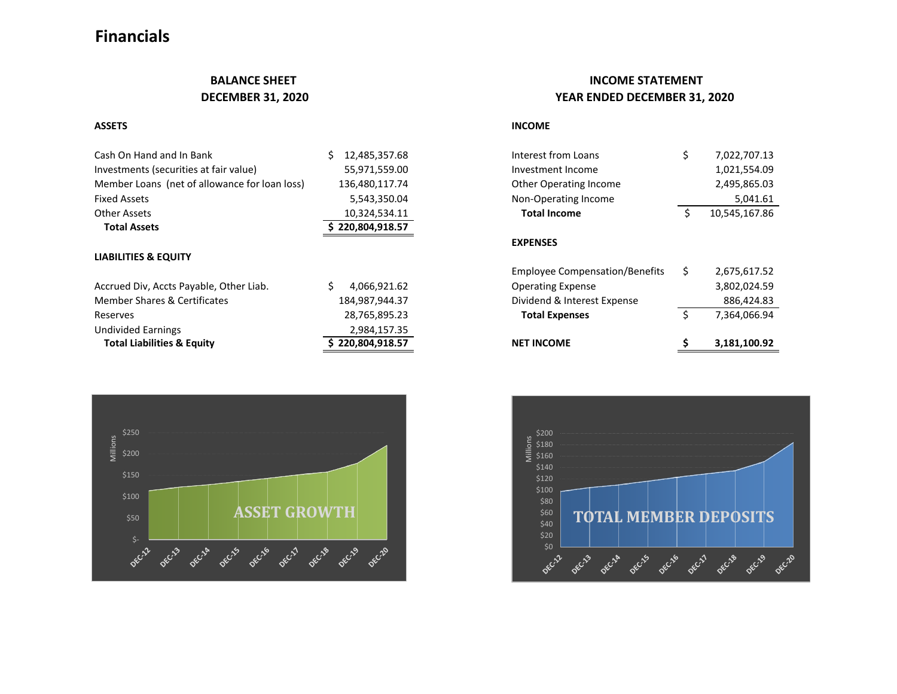# **Financials**

| Cash On Hand and In Bank                      | 12,485,357.68    | Interest from Loans    | 7,022,707.13  |
|-----------------------------------------------|------------------|------------------------|---------------|
| Investments (securities at fair value)        | 55,971,559.00    | Investment Income      | 1,021,554.09  |
| Member Loans (net of allowance for loan loss) | 136,480,117.74   | Other Operating Income | 2,495,865.03  |
| <b>Fixed Assets</b>                           | 5,543,350.04     | Non-Operating Income   | 5,041.61      |
| Other Assets                                  | 10,324,534.11    | <b>Total Income</b>    | 10,545,167.86 |
| <b>Total Assets</b>                           | \$220,804,918.57 |                        |               |
|                                               |                  | <b>EXPENSES</b>        |               |
| <b>LIABILITIES &amp; EQUITY</b>               |                  |                        |               |

| <b>Total Liabilities &amp; Equity</b>   | \$220,804,918.57 | <b>NET INCOME</b>           |            | 3,181,100.92 |
|-----------------------------------------|------------------|-----------------------------|------------|--------------|
| Undivided Earnings                      | 2,984,157.35     |                             |            |              |
| Reserves                                | 28,765,895.23    | <b>Total Expenses</b>       |            | 7,364,066.94 |
| Member Shares & Certificates            | 184.987.944.37   | Dividend & Interest Expense | 886,424.83 |              |
| Accrued Div, Accts Payable, Other Liab. | 4,066,921.62     | <b>Operating Expense</b>    |            | 3,802,024.59 |



## **BALANCE SHEET INCOME STATEMENT DECEMBER 31, 2020 YEAR ENDED DECEMBER 31, 2020**

## **ASSETS INCOME**

| <b>NET INCOME</b>                     |   | 3,181,100.92  |
|---------------------------------------|---|---------------|
| <b>Total Expenses</b>                 | Ś | 7,364,066.94  |
| Dividend & Interest Expense           |   | 886,424.83    |
| <b>Operating Expense</b>              |   | 3,802,024.59  |
| <b>Employee Compensation/Benefits</b> | Ś | 2,675,617.52  |
| <b>EXPENSES</b>                       |   |               |
| <b>Total Income</b>                   | Ś | 10,545,167.86 |
| Non-Operating Income                  |   | 5,041.61      |
| <b>Other Operating Income</b>         |   | 2,495,865.03  |
| Investment Income                     |   | 1,021,554.09  |
| Interest from Loans                   | Ś | 7,022,707.13  |
|                                       |   |               |